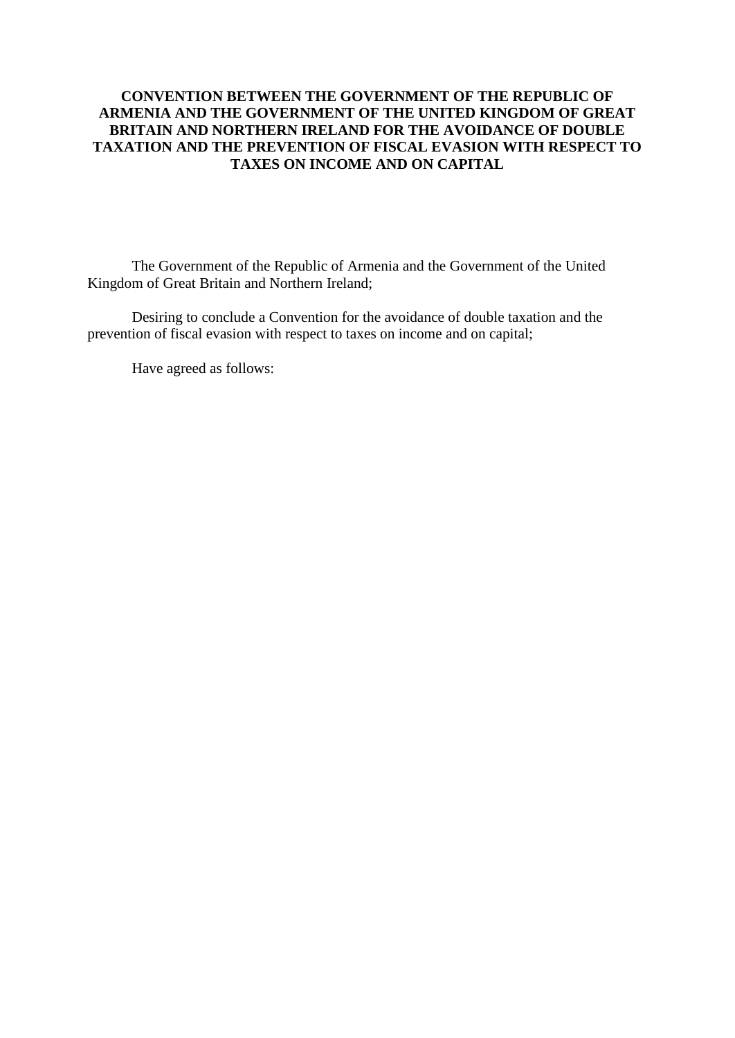### **CONVENTION BETWEEN THE GOVERNMENT OF THE REPUBLIC OF ARMENIA AND THE GOVERNMENT OF THE UNITED KINGDOM OF GREAT BRITAIN AND NORTHERN IRELAND FOR THE AVOIDANCE OF DOUBLE TAXATION AND THE PREVENTION OF FISCAL EVASION WITH RESPECT TO TAXES ON INCOME AND ON CAPITAL**

The Government of the Republic of Armenia and the Government of the United Kingdom of Great Britain and Northern Ireland;

Desiring to conclude a Convention for the avoidance of double taxation and the prevention of fiscal evasion with respect to taxes on income and on capital;

Have agreed as follows: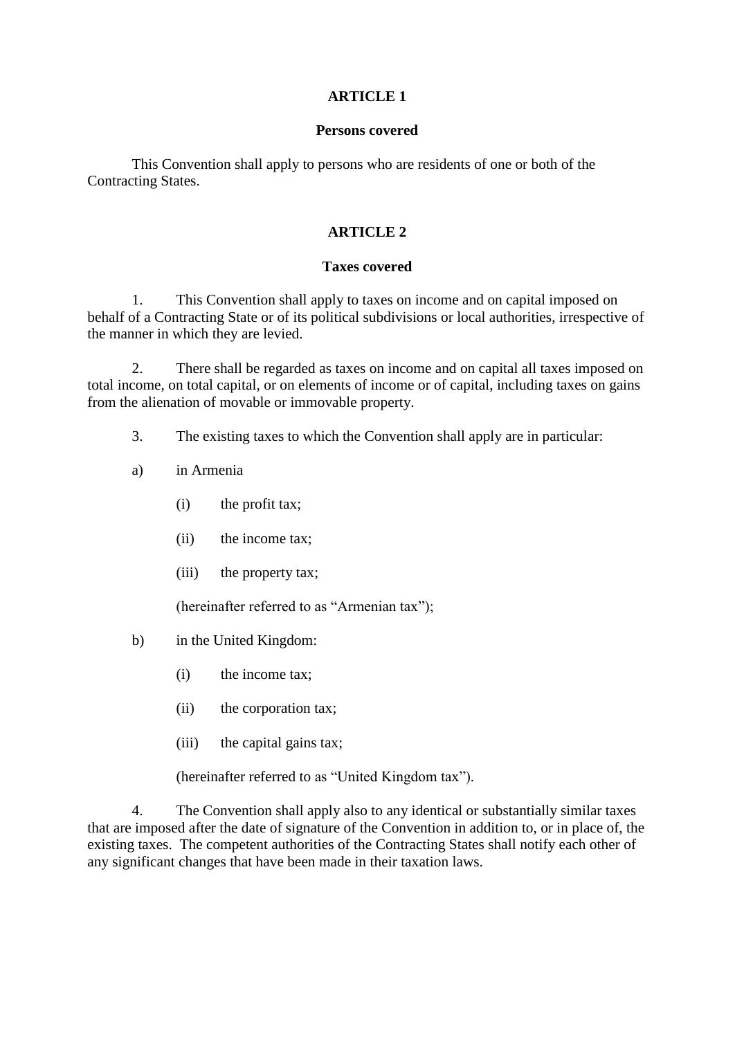#### **Persons covered**

This Convention shall apply to persons who are residents of one or both of the Contracting States.

### **ARTICLE 2**

#### **Taxes covered**

1. This Convention shall apply to taxes on income and on capital imposed on behalf of a Contracting State or of its political subdivisions or local authorities, irrespective of the manner in which they are levied.

2. There shall be regarded as taxes on income and on capital all taxes imposed on total income, on total capital, or on elements of income or of capital, including taxes on gains from the alienation of movable or immovable property.

- 3. The existing taxes to which the Convention shall apply are in particular:
- a) in Armenia
	- (i) the profit tax;
	- (ii) the income tax;
	- (iii) the property tax;

(hereinafter referred to as "Armenian tax");

- b) in the United Kingdom:
	- (i) the income tax;
	- (ii) the corporation tax;
	- (iii) the capital gains tax;

(hereinafter referred to as "United Kingdom tax").

4. The Convention shall apply also to any identical or substantially similar taxes that are imposed after the date of signature of the Convention in addition to, or in place of, the existing taxes. The competent authorities of the Contracting States shall notify each other of any significant changes that have been made in their taxation laws.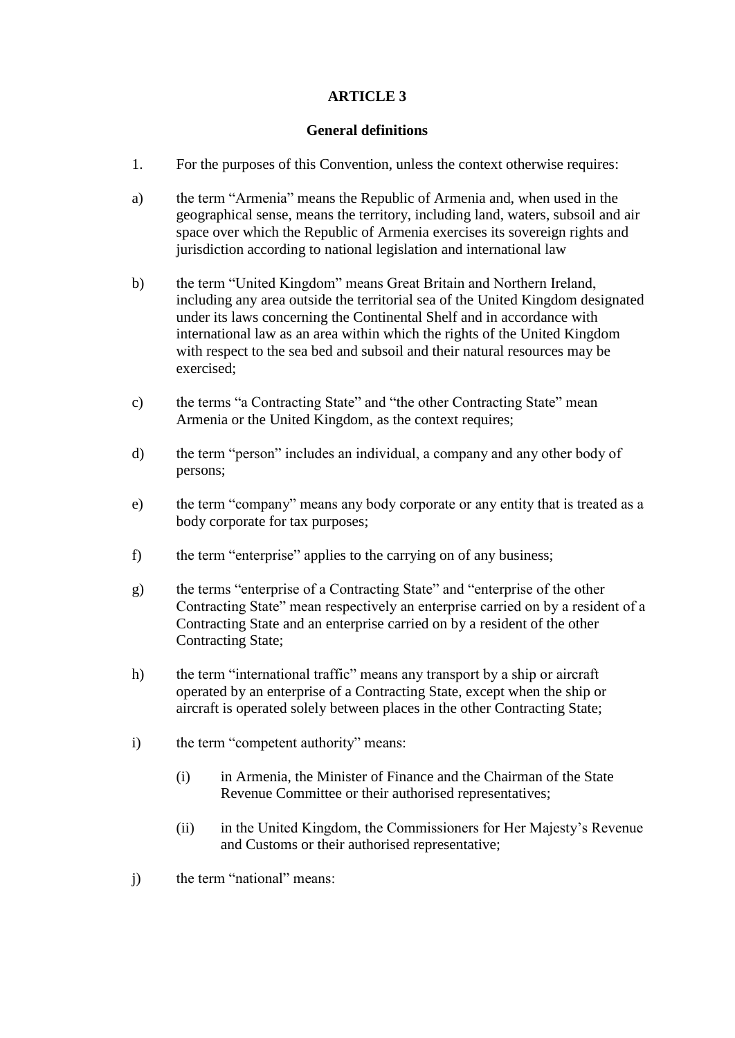### **General definitions**

- 1. For the purposes of this Convention, unless the context otherwise requires:
- a) the term "Armenia" means the Republic of Armenia and, when used in the geographical sense, means the territory, including land, waters, subsoil and air space over which the Republic of Armenia exercises its sovereign rights and jurisdiction according to national legislation and international law
- b) the term "United Kingdom" means Great Britain and Northern Ireland, including any area outside the territorial sea of the United Kingdom designated under its laws concerning the Continental Shelf and in accordance with international law as an area within which the rights of the United Kingdom with respect to the sea bed and subsoil and their natural resources may be exercised;
- c) the terms "a Contracting State" and "the other Contracting State" mean Armenia or the United Kingdom, as the context requires;
- d) the term "person" includes an individual, a company and any other body of persons;
- e) the term "company" means any body corporate or any entity that is treated as a body corporate for tax purposes;
- f) the term "enterprise" applies to the carrying on of any business;
- g) the terms "enterprise of a Contracting State" and "enterprise of the other Contracting State" mean respectively an enterprise carried on by a resident of a Contracting State and an enterprise carried on by a resident of the other Contracting State;
- h) the term "international traffic" means any transport by a ship or aircraft operated by an enterprise of a Contracting State, except when the ship or aircraft is operated solely between places in the other Contracting State;
- i) the term "competent authority" means:
	- (i) in Armenia, the Minister of Finance and the Chairman of the State Revenue Committee or their authorised representatives;
	- (ii) in the United Kingdom, the Commissioners for Her Majesty's Revenue and Customs or their authorised representative;
- j) the term "national" means: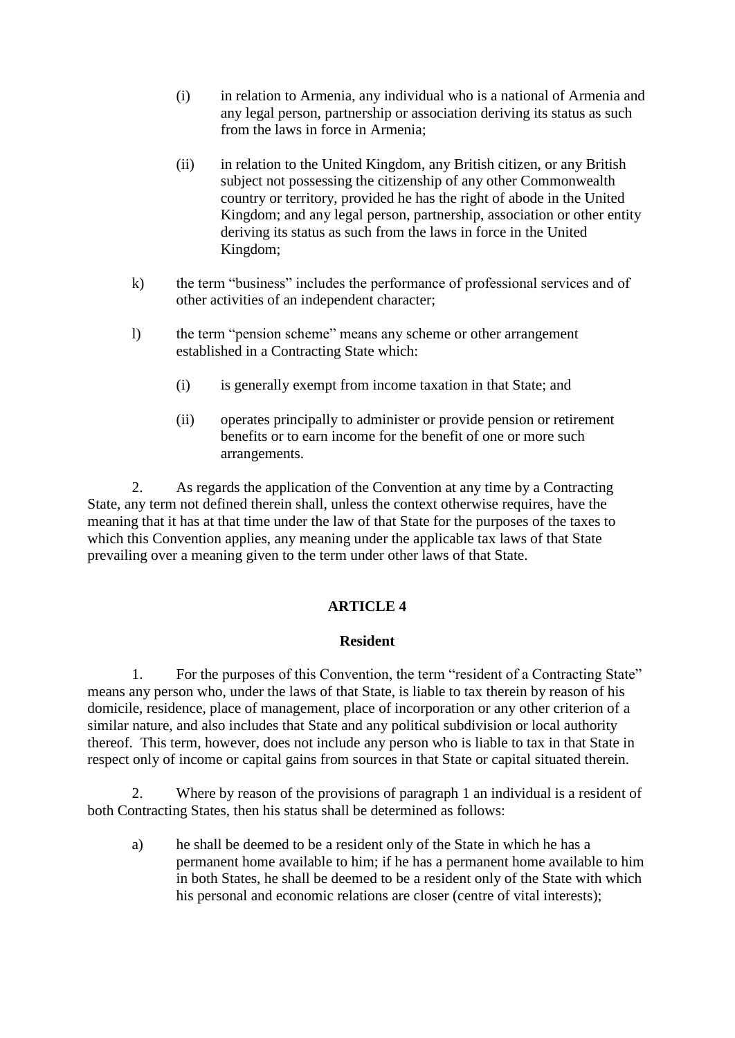- (i) in relation to Armenia, any individual who is a national of Armenia and any legal person, partnership or association deriving its status as such from the laws in force in Armenia;
- (ii) in relation to the United Kingdom, any British citizen, or any British subject not possessing the citizenship of any other Commonwealth country or territory, provided he has the right of abode in the United Kingdom; and any legal person, partnership, association or other entity deriving its status as such from the laws in force in the United Kingdom;
- k) the term "business" includes the performance of professional services and of other activities of an independent character;
- l) the term "pension scheme" means any scheme or other arrangement established in a Contracting State which:
	- (i) is generally exempt from income taxation in that State; and
	- (ii) operates principally to administer or provide pension or retirement benefits or to earn income for the benefit of one or more such arrangements.

2. As regards the application of the Convention at any time by a Contracting State, any term not defined therein shall, unless the context otherwise requires, have the meaning that it has at that time under the law of that State for the purposes of the taxes to which this Convention applies, any meaning under the applicable tax laws of that State prevailing over a meaning given to the term under other laws of that State.

# **ARTICLE 4**

#### **Resident**

1. For the purposes of this Convention, the term "resident of a Contracting State" means any person who, under the laws of that State, is liable to tax therein by reason of his domicile, residence, place of management, place of incorporation or any other criterion of a similar nature, and also includes that State and any political subdivision or local authority thereof. This term, however, does not include any person who is liable to tax in that State in respect only of income or capital gains from sources in that State or capital situated therein.

2. Where by reason of the provisions of paragraph 1 an individual is a resident of both Contracting States, then his status shall be determined as follows:

a) he shall be deemed to be a resident only of the State in which he has a permanent home available to him; if he has a permanent home available to him in both States, he shall be deemed to be a resident only of the State with which his personal and economic relations are closer (centre of vital interests);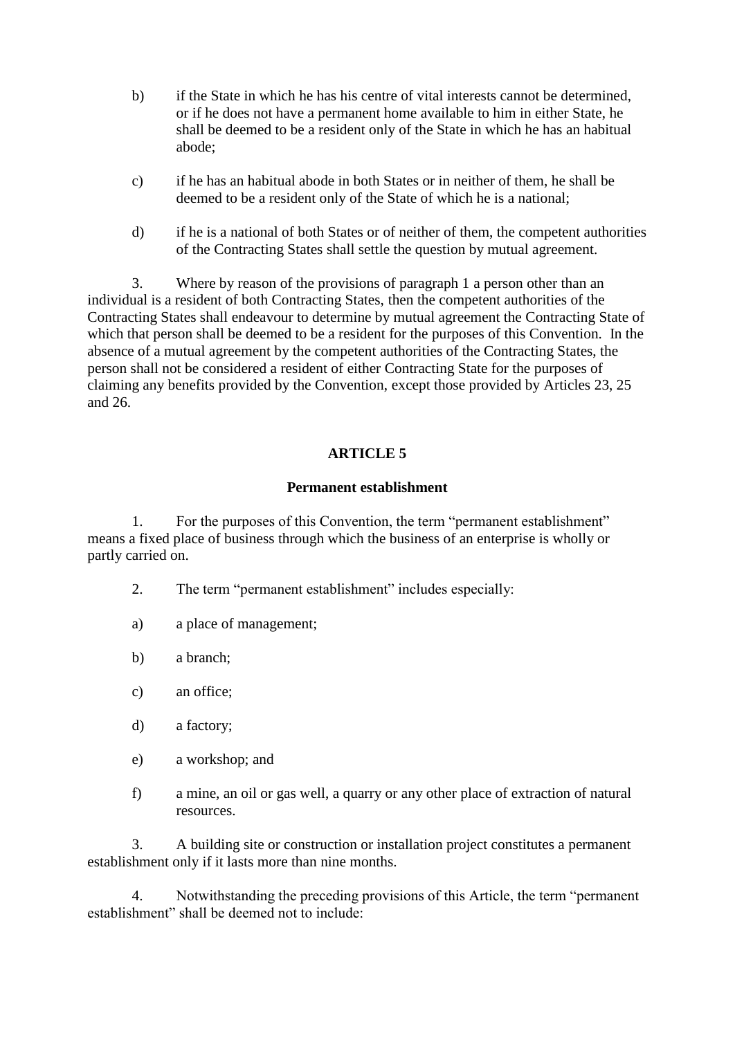- b) if the State in which he has his centre of vital interests cannot be determined, or if he does not have a permanent home available to him in either State, he shall be deemed to be a resident only of the State in which he has an habitual abode;
- c) if he has an habitual abode in both States or in neither of them, he shall be deemed to be a resident only of the State of which he is a national;
- d) if he is a national of both States or of neither of them, the competent authorities of the Contracting States shall settle the question by mutual agreement.

3. Where by reason of the provisions of paragraph 1 a person other than an individual is a resident of both Contracting States, then the competent authorities of the Contracting States shall endeavour to determine by mutual agreement the Contracting State of which that person shall be deemed to be a resident for the purposes of this Convention. In the absence of a mutual agreement by the competent authorities of the Contracting States, the person shall not be considered a resident of either Contracting State for the purposes of claiming any benefits provided by the Convention, except those provided by Articles 23, 25 and 26.

# **ARTICLE 5**

### **Permanent establishment**

1. For the purposes of this Convention, the term "permanent establishment" means a fixed place of business through which the business of an enterprise is wholly or partly carried on.

- 2. The term "permanent establishment" includes especially:
- a) a place of management;
- b) a branch;
- c) an office;
- d) a factory;
- e) a workshop; and
- f) a mine, an oil or gas well, a quarry or any other place of extraction of natural resources.

3. A building site or construction or installation project constitutes a permanent establishment only if it lasts more than nine months.

4. Notwithstanding the preceding provisions of this Article, the term "permanent establishment" shall be deemed not to include: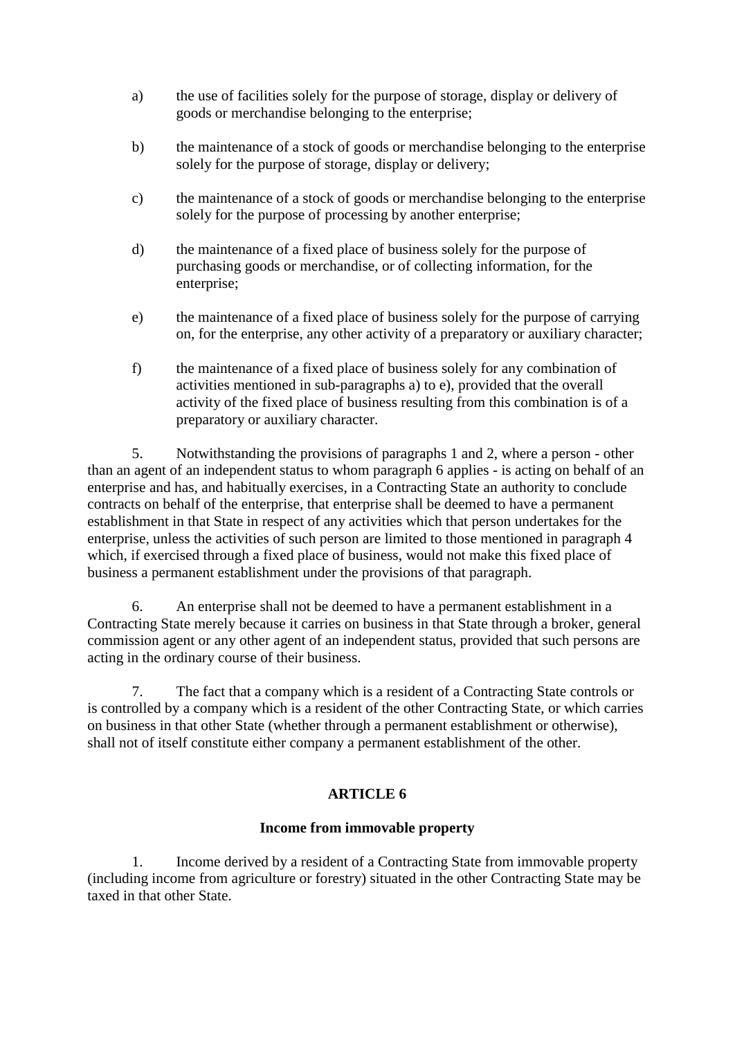- a) the use of facilities solely for the purpose of storage, display or delivery of goods or merchandise belonging to the enterprise;
- b) the maintenance of a stock of goods or merchandise belonging to the enterprise solely for the purpose of storage, display or delivery;
- c) the maintenance of a stock of goods or merchandise belonging to the enterprise solely for the purpose of processing by another enterprise;
- d) the maintenance of a fixed place of business solely for the purpose of purchasing goods or merchandise, or of collecting information, for the enterprise;
- e) the maintenance of a fixed place of business solely for the purpose of carrying on, for the enterprise, any other activity of a preparatory or auxiliary character;
- f) the maintenance of a fixed place of business solely for any combination of activities mentioned in sub-paragraphs a) to e), provided that the overall activity of the fixed place of business resulting from this combination is of a preparatory or auxiliary character.

5. Notwithstanding the provisions of paragraphs 1 and 2, where a person - other than an agent of an independent status to whom paragraph 6 applies - is acting on behalf of an enterprise and has, and habitually exercises, in a Contracting State an authority to conclude contracts on behalf of the enterprise, that enterprise shall be deemed to have a permanent establishment in that State in respect of any activities which that person undertakes for the enterprise, unless the activities of such person are limited to those mentioned in paragraph 4 which, if exercised through a fixed place of business, would not make this fixed place of business a permanent establishment under the provisions of that paragraph.

6. An enterprise shall not be deemed to have a permanent establishment in a Contracting State merely because it carries on business in that State through a broker, general commission agent or any other agent of an independent status, provided that such persons are acting in the ordinary course of their business.

7. The fact that a company which is a resident of a Contracting State controls or is controlled by a company which is a resident of the other Contracting State, or which carries on business in that other State (whether through a permanent establishment or otherwise), shall not of itself constitute either company a permanent establishment of the other.

### **ARTICLE 6**

#### **Income from immovable property**

1. Income derived by a resident of a Contracting State from immovable property (including income from agriculture or forestry) situated in the other Contracting State may be taxed in that other State.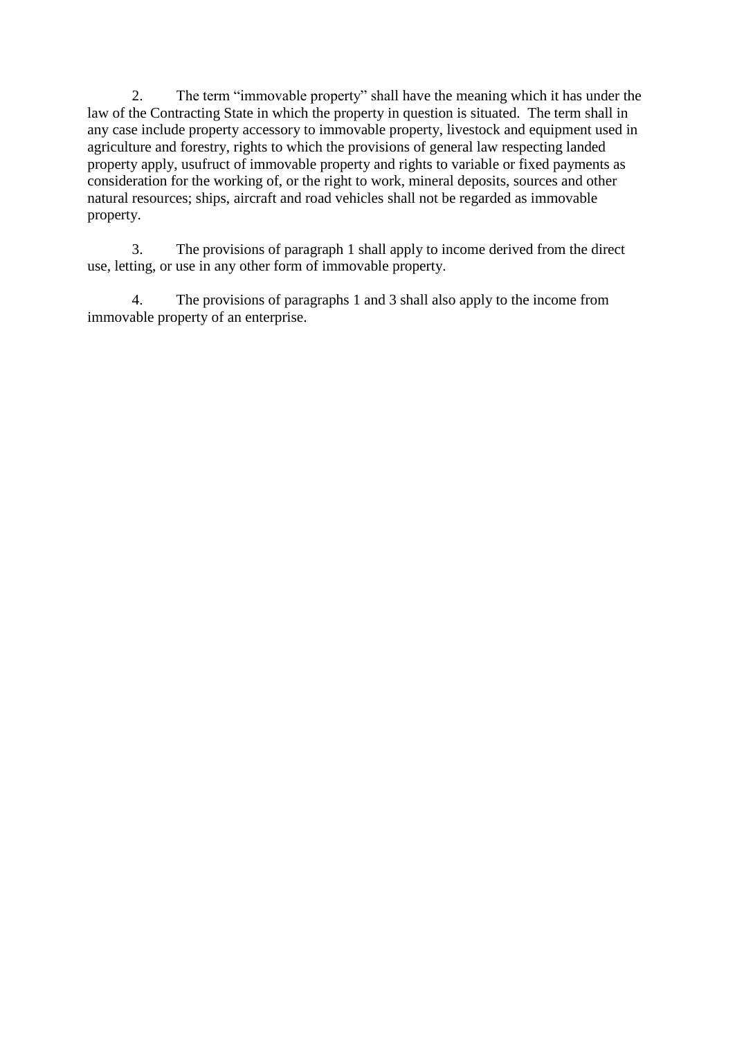2. The term "immovable property" shall have the meaning which it has under the law of the Contracting State in which the property in question is situated. The term shall in any case include property accessory to immovable property, livestock and equipment used in agriculture and forestry, rights to which the provisions of general law respecting landed property apply, usufruct of immovable property and rights to variable or fixed payments as consideration for the working of, or the right to work, mineral deposits, sources and other natural resources; ships, aircraft and road vehicles shall not be regarded as immovable property.

3. The provisions of paragraph 1 shall apply to income derived from the direct use, letting, or use in any other form of immovable property.

4. The provisions of paragraphs 1 and 3 shall also apply to the income from immovable property of an enterprise.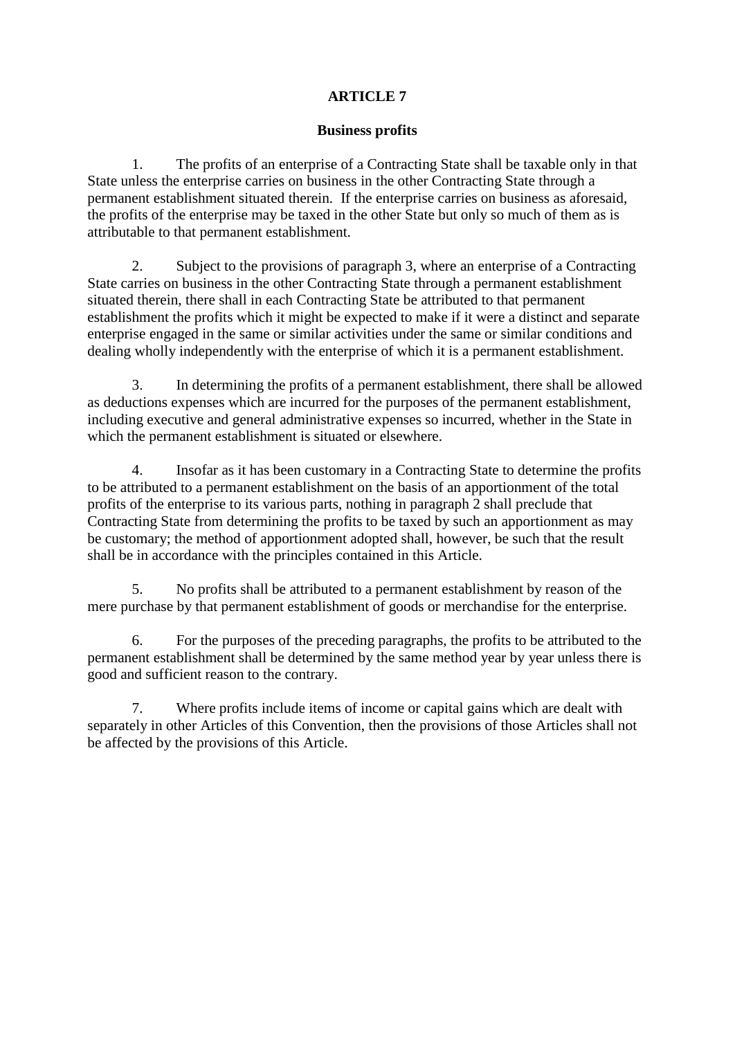### **Business profits**

1. The profits of an enterprise of a Contracting State shall be taxable only in that State unless the enterprise carries on business in the other Contracting State through a permanent establishment situated therein. If the enterprise carries on business as aforesaid, the profits of the enterprise may be taxed in the other State but only so much of them as is attributable to that permanent establishment.

2. Subject to the provisions of paragraph 3, where an enterprise of a Contracting State carries on business in the other Contracting State through a permanent establishment situated therein, there shall in each Contracting State be attributed to that permanent establishment the profits which it might be expected to make if it were a distinct and separate enterprise engaged in the same or similar activities under the same or similar conditions and dealing wholly independently with the enterprise of which it is a permanent establishment.

3. In determining the profits of a permanent establishment, there shall be allowed as deductions expenses which are incurred for the purposes of the permanent establishment, including executive and general administrative expenses so incurred, whether in the State in which the permanent establishment is situated or elsewhere.

4. Insofar as it has been customary in a Contracting State to determine the profits to be attributed to a permanent establishment on the basis of an apportionment of the total profits of the enterprise to its various parts, nothing in paragraph 2 shall preclude that Contracting State from determining the profits to be taxed by such an apportionment as may be customary; the method of apportionment adopted shall, however, be such that the result shall be in accordance with the principles contained in this Article.

5. No profits shall be attributed to a permanent establishment by reason of the mere purchase by that permanent establishment of goods or merchandise for the enterprise.

6. For the purposes of the preceding paragraphs, the profits to be attributed to the permanent establishment shall be determined by the same method year by year unless there is good and sufficient reason to the contrary.

7. Where profits include items of income or capital gains which are dealt with separately in other Articles of this Convention, then the provisions of those Articles shall not be affected by the provisions of this Article.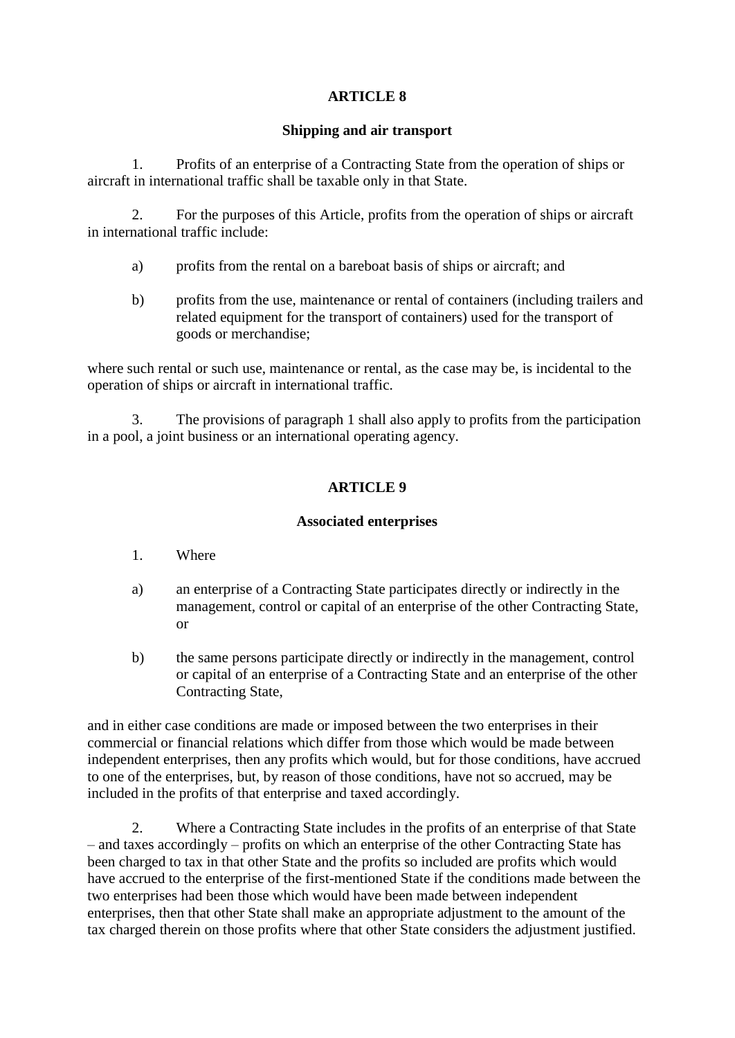### **Shipping and air transport**

1. Profits of an enterprise of a Contracting State from the operation of ships or aircraft in international traffic shall be taxable only in that State.

2. For the purposes of this Article, profits from the operation of ships or aircraft in international traffic include:

- a) profits from the rental on a bareboat basis of ships or aircraft; and
- b) profits from the use, maintenance or rental of containers (including trailers and related equipment for the transport of containers) used for the transport of goods or merchandise;

where such rental or such use, maintenance or rental, as the case may be, is incidental to the operation of ships or aircraft in international traffic.

3. The provisions of paragraph 1 shall also apply to profits from the participation in a pool, a joint business or an international operating agency.

# **ARTICLE 9**

### **Associated enterprises**

- 1. Where
- a) an enterprise of a Contracting State participates directly or indirectly in the management, control or capital of an enterprise of the other Contracting State, or
- b) the same persons participate directly or indirectly in the management, control or capital of an enterprise of a Contracting State and an enterprise of the other Contracting State,

and in either case conditions are made or imposed between the two enterprises in their commercial or financial relations which differ from those which would be made between independent enterprises, then any profits which would, but for those conditions, have accrued to one of the enterprises, but, by reason of those conditions, have not so accrued, may be included in the profits of that enterprise and taxed accordingly.

2. Where a Contracting State includes in the profits of an enterprise of that State – and taxes accordingly – profits on which an enterprise of the other Contracting State has been charged to tax in that other State and the profits so included are profits which would have accrued to the enterprise of the first-mentioned State if the conditions made between the two enterprises had been those which would have been made between independent enterprises, then that other State shall make an appropriate adjustment to the amount of the tax charged therein on those profits where that other State considers the adjustment justified.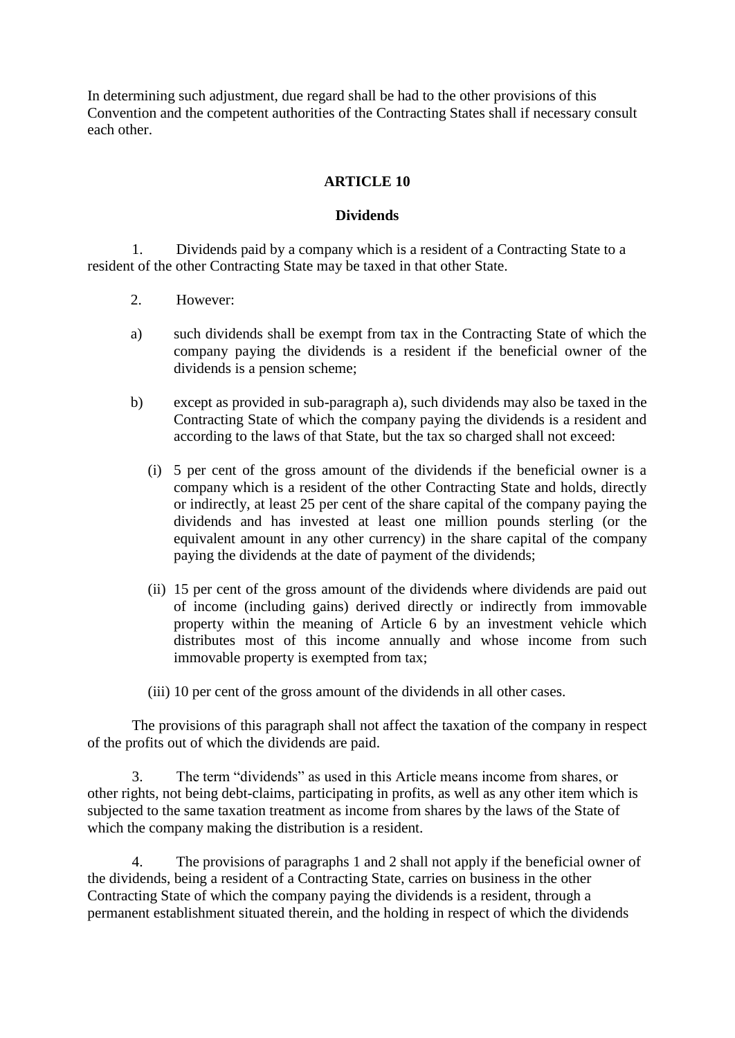In determining such adjustment, due regard shall be had to the other provisions of this Convention and the competent authorities of the Contracting States shall if necessary consult each other.

### **ARTICLE 10**

#### **Dividends**

1. Dividends paid by a company which is a resident of a Contracting State to a resident of the other Contracting State may be taxed in that other State.

- 2. However:
- a) such dividends shall be exempt from tax in the Contracting State of which the company paying the dividends is a resident if the beneficial owner of the dividends is a pension scheme;
- b) except as provided in sub-paragraph a), such dividends may also be taxed in the Contracting State of which the company paying the dividends is a resident and according to the laws of that State, but the tax so charged shall not exceed:
	- (i) 5 per cent of the gross amount of the dividends if the beneficial owner is a company which is a resident of the other Contracting State and holds, directly or indirectly, at least 25 per cent of the share capital of the company paying the dividends and has invested at least one million pounds sterling (or the equivalent amount in any other currency) in the share capital of the company paying the dividends at the date of payment of the dividends;
	- (ii) 15 per cent of the gross amount of the dividends where dividends are paid out of income (including gains) derived directly or indirectly from immovable property within the meaning of Article 6 by an investment vehicle which distributes most of this income annually and whose income from such immovable property is exempted from tax;
	- (iii) 10 per cent of the gross amount of the dividends in all other cases.

The provisions of this paragraph shall not affect the taxation of the company in respect of the profits out of which the dividends are paid.

3. The term "dividends" as used in this Article means income from shares, or other rights, not being debt-claims, participating in profits, as well as any other item which is subjected to the same taxation treatment as income from shares by the laws of the State of which the company making the distribution is a resident.

4. The provisions of paragraphs 1 and 2 shall not apply if the beneficial owner of the dividends, being a resident of a Contracting State, carries on business in the other Contracting State of which the company paying the dividends is a resident, through a permanent establishment situated therein, and the holding in respect of which the dividends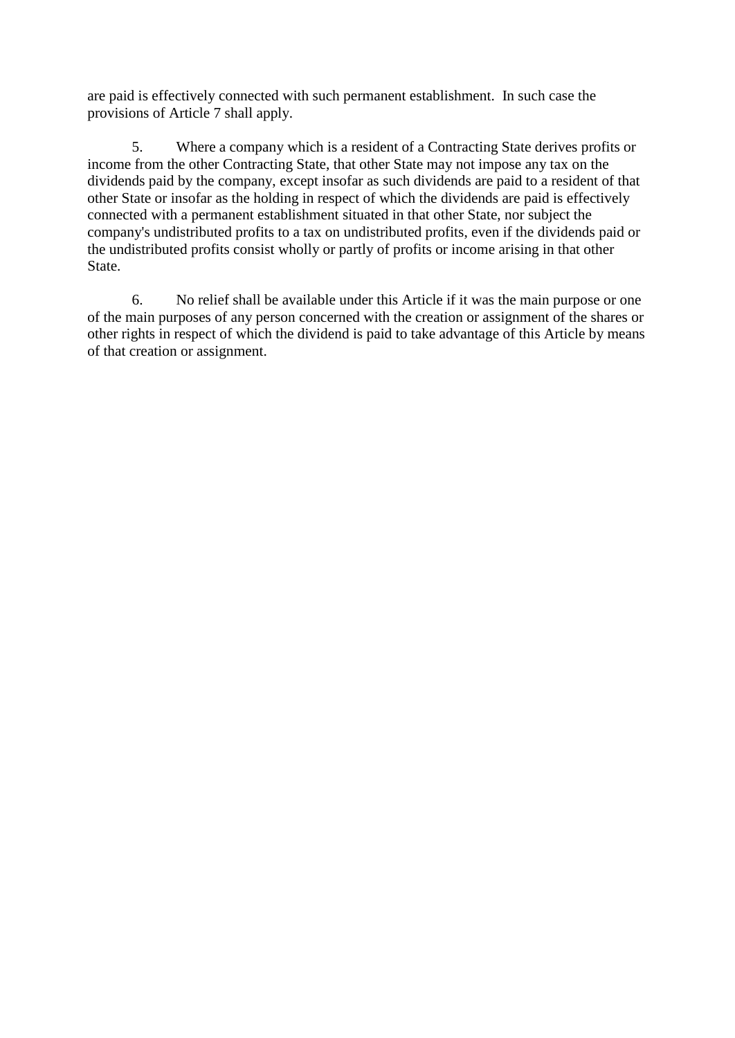are paid is effectively connected with such permanent establishment. In such case the provisions of Article 7 shall apply.

5. Where a company which is a resident of a Contracting State derives profits or income from the other Contracting State, that other State may not impose any tax on the dividends paid by the company, except insofar as such dividends are paid to a resident of that other State or insofar as the holding in respect of which the dividends are paid is effectively connected with a permanent establishment situated in that other State, nor subject the company's undistributed profits to a tax on undistributed profits, even if the dividends paid or the undistributed profits consist wholly or partly of profits or income arising in that other State.

6. No relief shall be available under this Article if it was the main purpose or one of the main purposes of any person concerned with the creation or assignment of the shares or other rights in respect of which the dividend is paid to take advantage of this Article by means of that creation or assignment.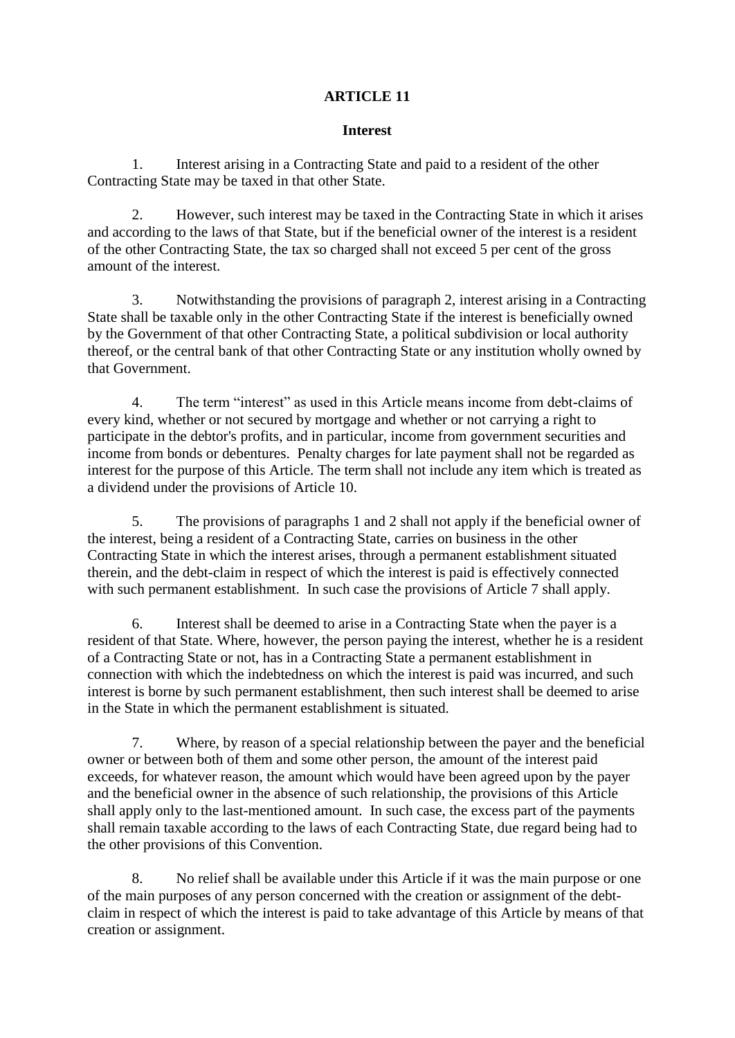### **Interest**

1. Interest arising in a Contracting State and paid to a resident of the other Contracting State may be taxed in that other State.

2. However, such interest may be taxed in the Contracting State in which it arises and according to the laws of that State, but if the beneficial owner of the interest is a resident of the other Contracting State, the tax so charged shall not exceed 5 per cent of the gross amount of the interest.

3. Notwithstanding the provisions of paragraph 2, interest arising in a Contracting State shall be taxable only in the other Contracting State if the interest is beneficially owned by the Government of that other Contracting State, a political subdivision or local authority thereof, or the central bank of that other Contracting State or any institution wholly owned by that Government.

4. The term "interest" as used in this Article means income from debt-claims of every kind, whether or not secured by mortgage and whether or not carrying a right to participate in the debtor's profits, and in particular, income from government securities and income from bonds or debentures. Penalty charges for late payment shall not be regarded as interest for the purpose of this Article. The term shall not include any item which is treated as a dividend under the provisions of Article 10.

5. The provisions of paragraphs 1 and 2 shall not apply if the beneficial owner of the interest, being a resident of a Contracting State, carries on business in the other Contracting State in which the interest arises, through a permanent establishment situated therein, and the debt-claim in respect of which the interest is paid is effectively connected with such permanent establishment. In such case the provisions of Article 7 shall apply.

6. Interest shall be deemed to arise in a Contracting State when the payer is a resident of that State. Where, however, the person paying the interest, whether he is a resident of a Contracting State or not, has in a Contracting State a permanent establishment in connection with which the indebtedness on which the interest is paid was incurred, and such interest is borne by such permanent establishment, then such interest shall be deemed to arise in the State in which the permanent establishment is situated.

7. Where, by reason of a special relationship between the payer and the beneficial owner or between both of them and some other person, the amount of the interest paid exceeds, for whatever reason, the amount which would have been agreed upon by the payer and the beneficial owner in the absence of such relationship, the provisions of this Article shall apply only to the last-mentioned amount. In such case, the excess part of the payments shall remain taxable according to the laws of each Contracting State, due regard being had to the other provisions of this Convention.

8. No relief shall be available under this Article if it was the main purpose or one of the main purposes of any person concerned with the creation or assignment of the debtclaim in respect of which the interest is paid to take advantage of this Article by means of that creation or assignment.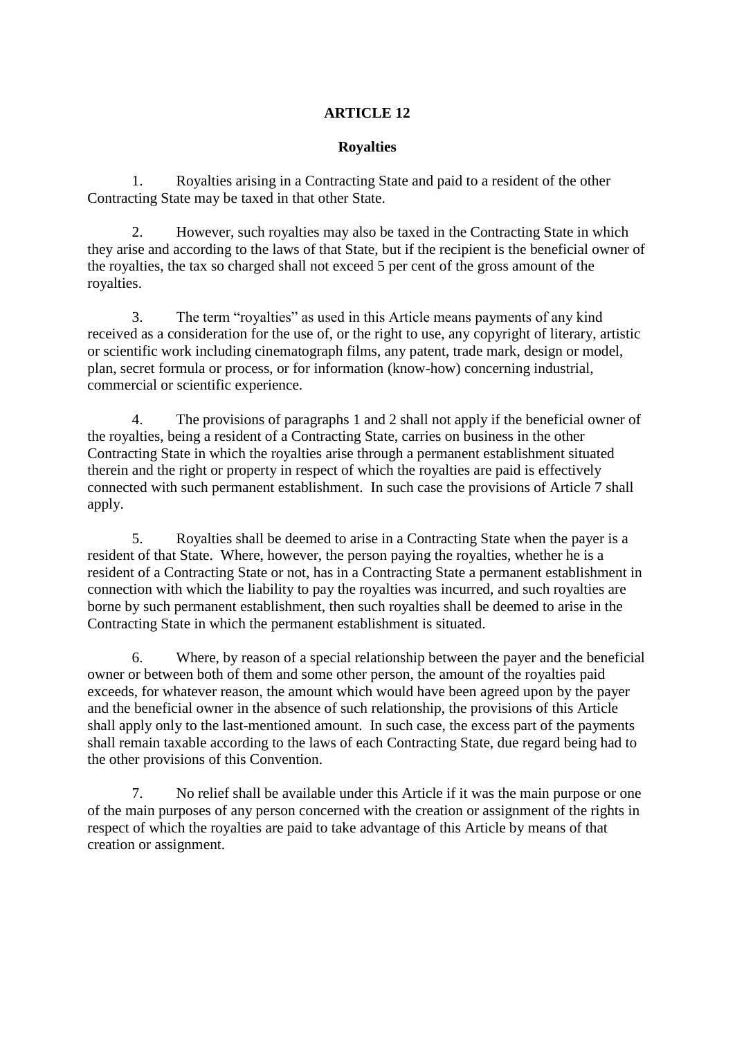### **Royalties**

1. Royalties arising in a Contracting State and paid to a resident of the other Contracting State may be taxed in that other State.

2. However, such royalties may also be taxed in the Contracting State in which they arise and according to the laws of that State, but if the recipient is the beneficial owner of the royalties, the tax so charged shall not exceed 5 per cent of the gross amount of the royalties.

3. The term "royalties" as used in this Article means payments of any kind received as a consideration for the use of, or the right to use, any copyright of literary, artistic or scientific work including cinematograph films, any patent, trade mark, design or model, plan, secret formula or process, or for information (know-how) concerning industrial, commercial or scientific experience.

4. The provisions of paragraphs 1 and 2 shall not apply if the beneficial owner of the royalties, being a resident of a Contracting State, carries on business in the other Contracting State in which the royalties arise through a permanent establishment situated therein and the right or property in respect of which the royalties are paid is effectively connected with such permanent establishment. In such case the provisions of Article 7 shall apply.

5. Royalties shall be deemed to arise in a Contracting State when the payer is a resident of that State. Where, however, the person paying the royalties, whether he is a resident of a Contracting State or not, has in a Contracting State a permanent establishment in connection with which the liability to pay the royalties was incurred, and such royalties are borne by such permanent establishment, then such royalties shall be deemed to arise in the Contracting State in which the permanent establishment is situated.

6. Where, by reason of a special relationship between the payer and the beneficial owner or between both of them and some other person, the amount of the royalties paid exceeds, for whatever reason, the amount which would have been agreed upon by the payer and the beneficial owner in the absence of such relationship, the provisions of this Article shall apply only to the last-mentioned amount. In such case, the excess part of the payments shall remain taxable according to the laws of each Contracting State, due regard being had to the other provisions of this Convention.

7. No relief shall be available under this Article if it was the main purpose or one of the main purposes of any person concerned with the creation or assignment of the rights in respect of which the royalties are paid to take advantage of this Article by means of that creation or assignment.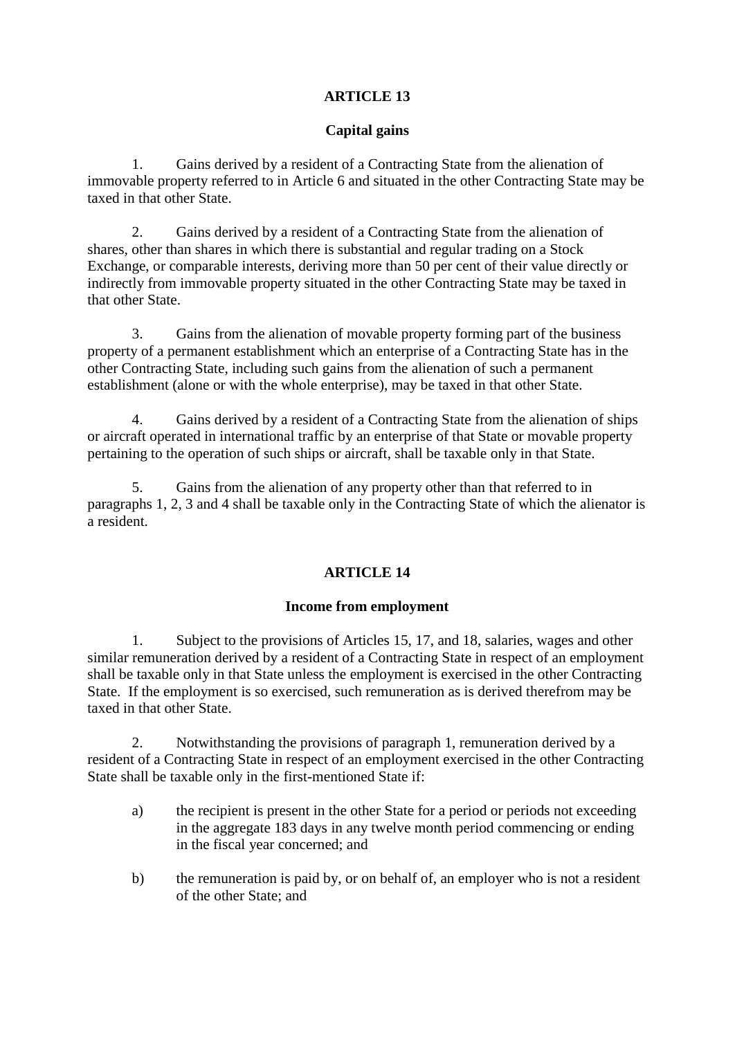### **Capital gains**

1. Gains derived by a resident of a Contracting State from the alienation of immovable property referred to in Article 6 and situated in the other Contracting State may be taxed in that other State.

2. Gains derived by a resident of a Contracting State from the alienation of shares, other than shares in which there is substantial and regular trading on a Stock Exchange, or comparable interests, deriving more than 50 per cent of their value directly or indirectly from immovable property situated in the other Contracting State may be taxed in that other State.

3. Gains from the alienation of movable property forming part of the business property of a permanent establishment which an enterprise of a Contracting State has in the other Contracting State, including such gains from the alienation of such a permanent establishment (alone or with the whole enterprise), may be taxed in that other State.

4. Gains derived by a resident of a Contracting State from the alienation of ships or aircraft operated in international traffic by an enterprise of that State or movable property pertaining to the operation of such ships or aircraft, shall be taxable only in that State.

5. Gains from the alienation of any property other than that referred to in paragraphs 1, 2, 3 and 4 shall be taxable only in the Contracting State of which the alienator is a resident.

# **ARTICLE 14**

### **Income from employment**

1. Subject to the provisions of Articles 15, 17, and 18, salaries, wages and other similar remuneration derived by a resident of a Contracting State in respect of an employment shall be taxable only in that State unless the employment is exercised in the other Contracting State. If the employment is so exercised, such remuneration as is derived therefrom may be taxed in that other State.

2. Notwithstanding the provisions of paragraph 1, remuneration derived by a resident of a Contracting State in respect of an employment exercised in the other Contracting State shall be taxable only in the first-mentioned State if:

- a) the recipient is present in the other State for a period or periods not exceeding in the aggregate 183 days in any twelve month period commencing or ending in the fiscal year concerned; and
- b) the remuneration is paid by, or on behalf of, an employer who is not a resident of the other State; and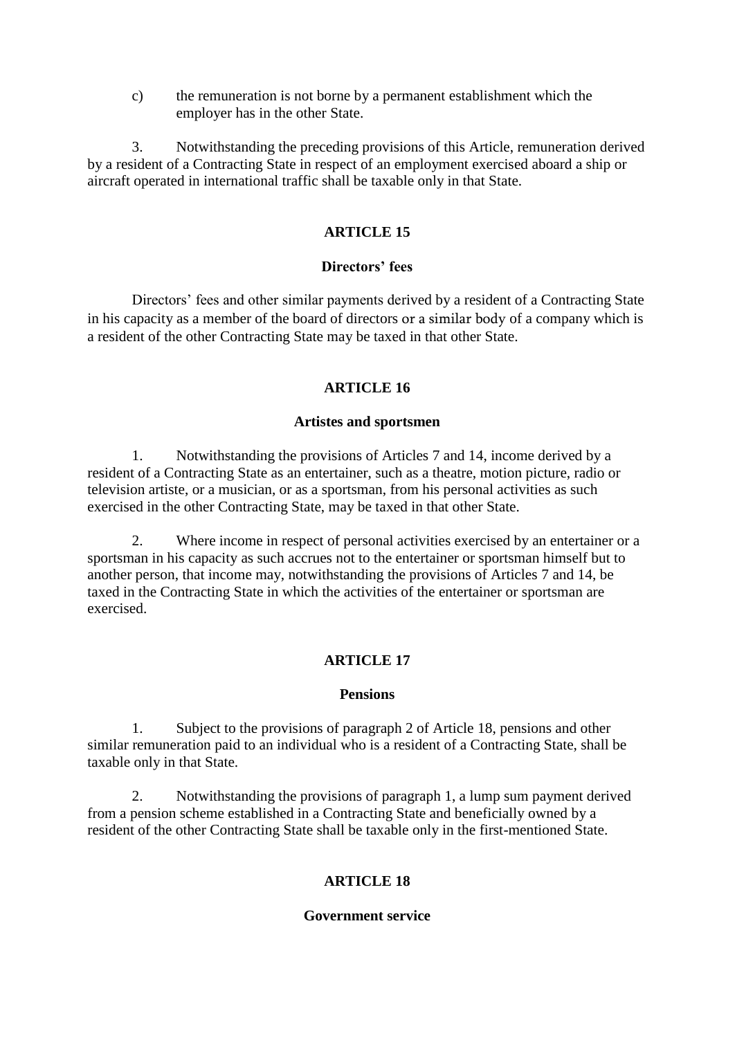c) the remuneration is not borne by a permanent establishment which the employer has in the other State.

3. Notwithstanding the preceding provisions of this Article, remuneration derived by a resident of a Contracting State in respect of an employment exercised aboard a ship or aircraft operated in international traffic shall be taxable only in that State.

### **ARTICLE 15**

### **Directors' fees**

Directors' fees and other similar payments derived by a resident of a Contracting State in his capacity as a member of the board of directors or a similar body of a company which is a resident of the other Contracting State may be taxed in that other State.

### **ARTICLE 16**

#### **Artistes and sportsmen**

1. Notwithstanding the provisions of Articles 7 and 14, income derived by a resident of a Contracting State as an entertainer, such as a theatre, motion picture, radio or television artiste, or a musician, or as a sportsman, from his personal activities as such exercised in the other Contracting State, may be taxed in that other State.

2. Where income in respect of personal activities exercised by an entertainer or a sportsman in his capacity as such accrues not to the entertainer or sportsman himself but to another person, that income may, notwithstanding the provisions of Articles 7 and 14, be taxed in the Contracting State in which the activities of the entertainer or sportsman are exercised.

### **ARTICLE 17**

#### **Pensions**

1. Subject to the provisions of paragraph 2 of Article 18, pensions and other similar remuneration paid to an individual who is a resident of a Contracting State, shall be taxable only in that State.

2. Notwithstanding the provisions of paragraph 1, a lump sum payment derived from a pension scheme established in a Contracting State and beneficially owned by a resident of the other Contracting State shall be taxable only in the first-mentioned State.

### **ARTICLE 18**

#### **Government service**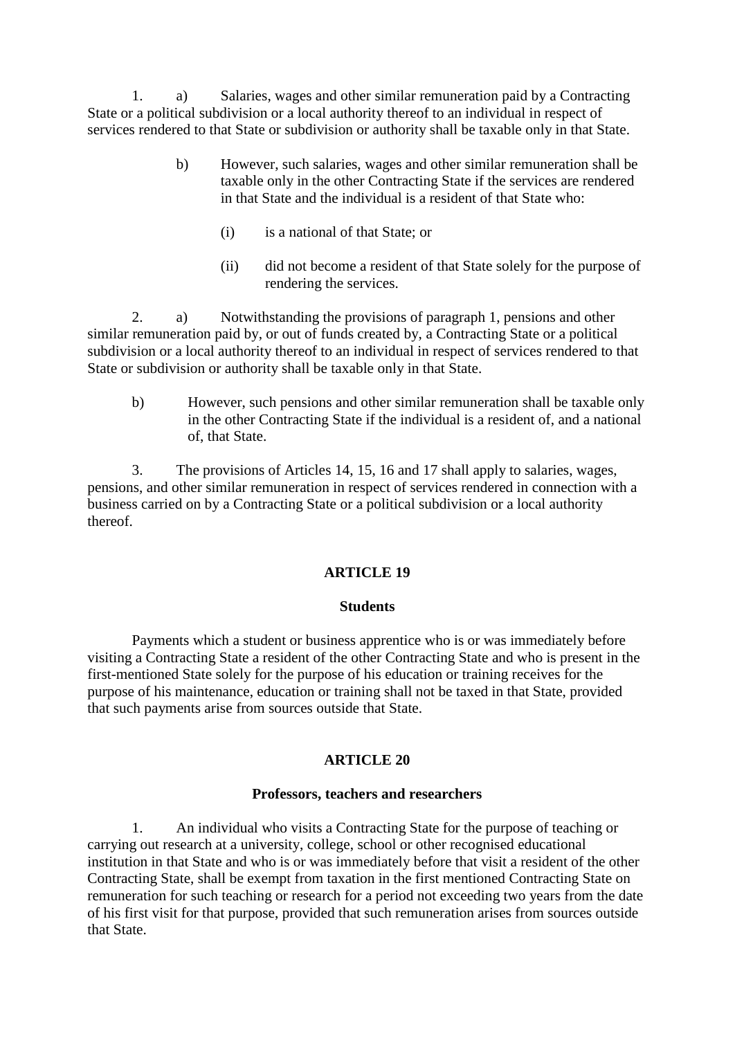1. a) Salaries, wages and other similar remuneration paid by a Contracting State or a political subdivision or a local authority thereof to an individual in respect of services rendered to that State or subdivision or authority shall be taxable only in that State.

- b) However, such salaries, wages and other similar remuneration shall be taxable only in the other Contracting State if the services are rendered in that State and the individual is a resident of that State who:
	- (i) is a national of that State; or
	- (ii) did not become a resident of that State solely for the purpose of rendering the services.

2. a) Notwithstanding the provisions of paragraph 1, pensions and other similar remuneration paid by, or out of funds created by, a Contracting State or a political subdivision or a local authority thereof to an individual in respect of services rendered to that State or subdivision or authority shall be taxable only in that State.

b) However, such pensions and other similar remuneration shall be taxable only in the other Contracting State if the individual is a resident of, and a national of, that State.

3. The provisions of Articles 14, 15, 16 and 17 shall apply to salaries, wages, pensions, and other similar remuneration in respect of services rendered in connection with a business carried on by a Contracting State or a political subdivision or a local authority thereof.

#### **ARTICLE 19**

#### **Students**

Payments which a student or business apprentice who is or was immediately before visiting a Contracting State a resident of the other Contracting State and who is present in the first-mentioned State solely for the purpose of his education or training receives for the purpose of his maintenance, education or training shall not be taxed in that State, provided that such payments arise from sources outside that State.

### **ARTICLE 20**

#### **Professors, teachers and researchers**

1. An individual who visits a Contracting State for the purpose of teaching or carrying out research at a university, college, school or other recognised educational institution in that State and who is or was immediately before that visit a resident of the other Contracting State, shall be exempt from taxation in the first mentioned Contracting State on remuneration for such teaching or research for a period not exceeding two years from the date of his first visit for that purpose, provided that such remuneration arises from sources outside that State.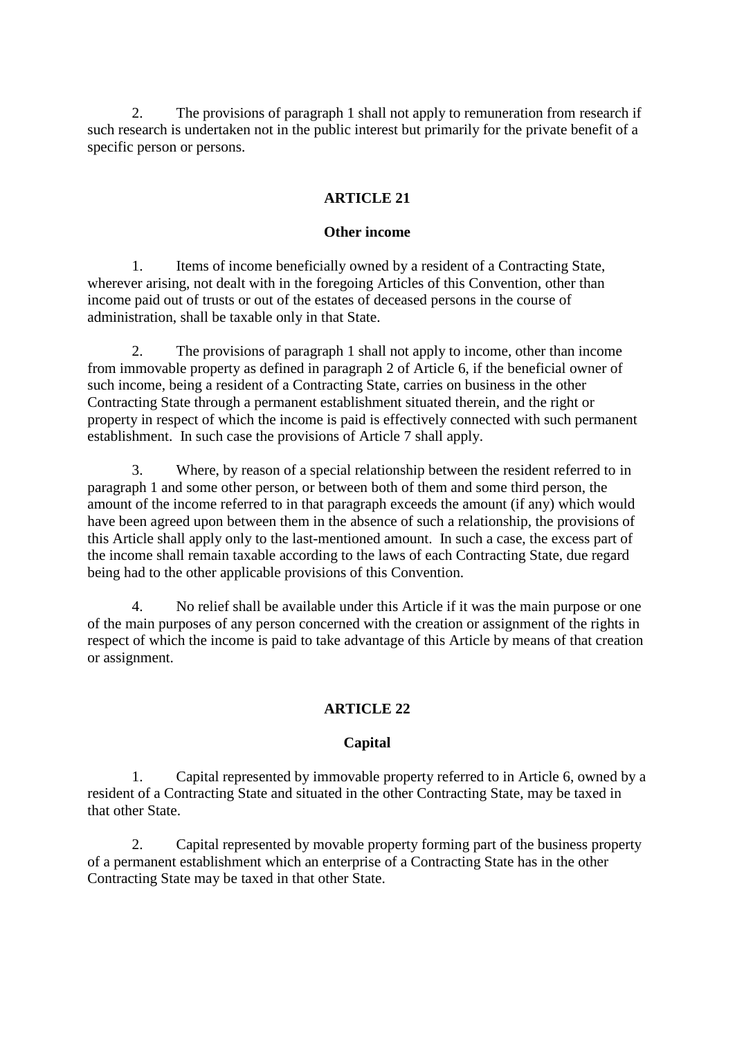2. The provisions of paragraph 1 shall not apply to remuneration from research if such research is undertaken not in the public interest but primarily for the private benefit of a specific person or persons.

### **ARTICLE 21**

#### **Other income**

1. Items of income beneficially owned by a resident of a Contracting State, wherever arising, not dealt with in the foregoing Articles of this Convention, other than income paid out of trusts or out of the estates of deceased persons in the course of administration, shall be taxable only in that State.

2. The provisions of paragraph 1 shall not apply to income, other than income from immovable property as defined in paragraph 2 of Article 6, if the beneficial owner of such income, being a resident of a Contracting State, carries on business in the other Contracting State through a permanent establishment situated therein, and the right or property in respect of which the income is paid is effectively connected with such permanent establishment. In such case the provisions of Article 7 shall apply.

3. Where, by reason of a special relationship between the resident referred to in paragraph 1 and some other person, or between both of them and some third person, the amount of the income referred to in that paragraph exceeds the amount (if any) which would have been agreed upon between them in the absence of such a relationship, the provisions of this Article shall apply only to the last-mentioned amount. In such a case, the excess part of the income shall remain taxable according to the laws of each Contracting State, due regard being had to the other applicable provisions of this Convention.

4. No relief shall be available under this Article if it was the main purpose or one of the main purposes of any person concerned with the creation or assignment of the rights in respect of which the income is paid to take advantage of this Article by means of that creation or assignment.

#### **ARTICLE 22**

#### **Capital**

1. Capital represented by immovable property referred to in Article 6, owned by a resident of a Contracting State and situated in the other Contracting State, may be taxed in that other State.

2. Capital represented by movable property forming part of the business property of a permanent establishment which an enterprise of a Contracting State has in the other Contracting State may be taxed in that other State.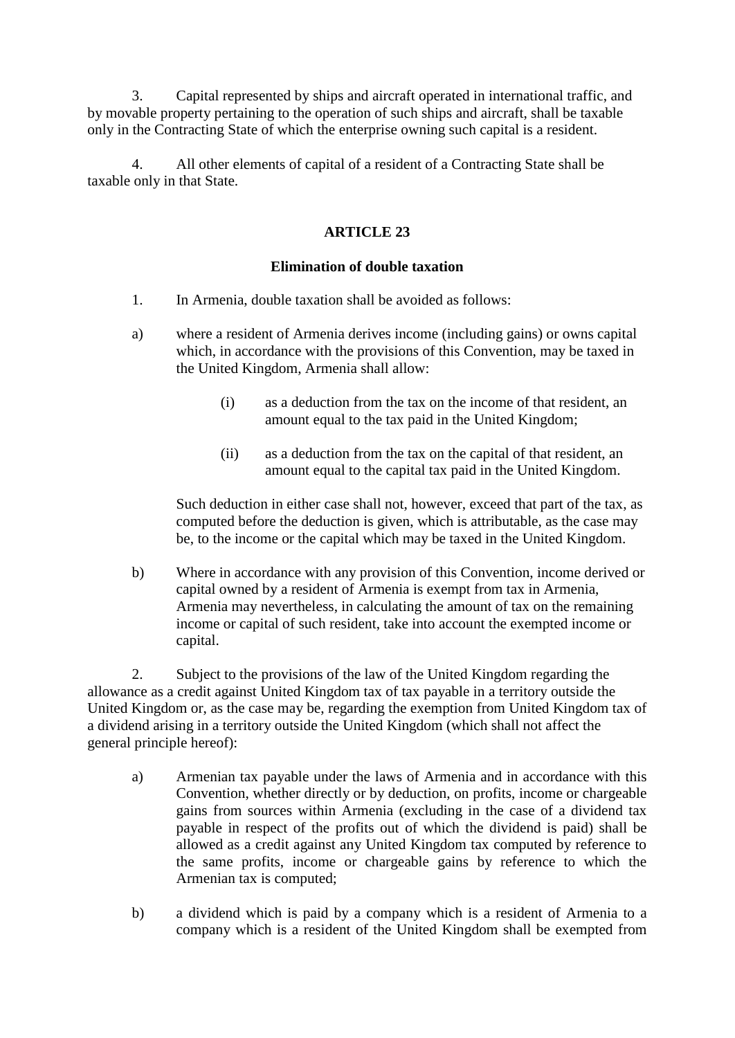3. Capital represented by ships and aircraft operated in international traffic, and by movable property pertaining to the operation of such ships and aircraft, shall be taxable only in the Contracting State of which the enterprise owning such capital is a resident.

4. All other elements of capital of a resident of a Contracting State shall be taxable only in that State.

### **ARTICLE 23**

#### **Elimination of double taxation**

- 1. In Armenia, double taxation shall be avoided as follows:
- a) where a resident of Armenia derives income (including gains) or owns capital which, in accordance with the provisions of this Convention, may be taxed in the United Kingdom, Armenia shall allow:
	- (i) as a deduction from the tax on the income of that resident, an amount equal to the tax paid in the United Kingdom;
	- (ii) as a deduction from the tax on the capital of that resident, an amount equal to the capital tax paid in the United Kingdom.

Such deduction in either case shall not, however, exceed that part of the tax, as computed before the deduction is given, which is attributable, as the case may be, to the income or the capital which may be taxed in the United Kingdom.

b) Where in accordance with any provision of this Convention, income derived or capital owned by a resident of Armenia is exempt from tax in Armenia, Armenia may nevertheless, in calculating the amount of tax on the remaining income or capital of such resident, take into account the exempted income or capital.

2. Subject to the provisions of the law of the United Kingdom regarding the allowance as a credit against United Kingdom tax of tax payable in a territory outside the United Kingdom or, as the case may be, regarding the exemption from United Kingdom tax of a dividend arising in a territory outside the United Kingdom (which shall not affect the general principle hereof):

- a) Armenian tax payable under the laws of Armenia and in accordance with this Convention, whether directly or by deduction, on profits, income or chargeable gains from sources within Armenia (excluding in the case of a dividend tax payable in respect of the profits out of which the dividend is paid) shall be allowed as a credit against any United Kingdom tax computed by reference to the same profits, income or chargeable gains by reference to which the Armenian tax is computed;
- b) a dividend which is paid by a company which is a resident of Armenia to a company which is a resident of the United Kingdom shall be exempted from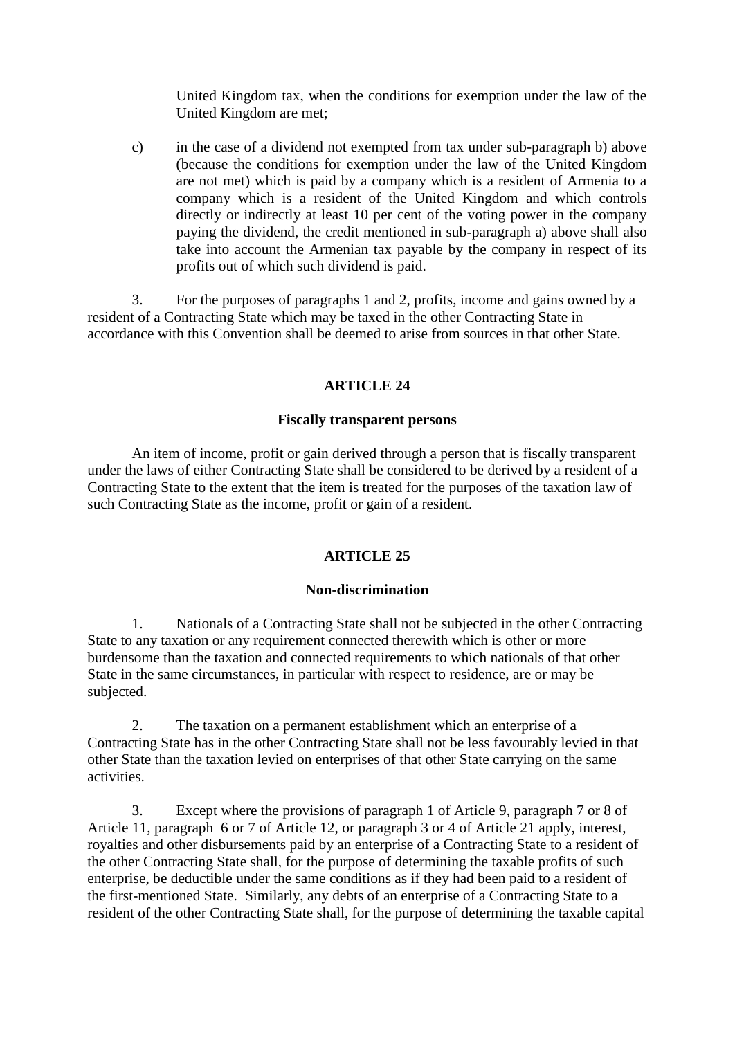United Kingdom tax, when the conditions for exemption under the law of the United Kingdom are met;

c) in the case of a dividend not exempted from tax under sub-paragraph b) above (because the conditions for exemption under the law of the United Kingdom are not met) which is paid by a company which is a resident of Armenia to a company which is a resident of the United Kingdom and which controls directly or indirectly at least 10 per cent of the voting power in the company paying the dividend, the credit mentioned in sub-paragraph a) above shall also take into account the Armenian tax payable by the company in respect of its profits out of which such dividend is paid.

3. For the purposes of paragraphs 1 and 2, profits, income and gains owned by a resident of a Contracting State which may be taxed in the other Contracting State in accordance with this Convention shall be deemed to arise from sources in that other State.

### **ARTICLE 24**

### **Fiscally transparent persons**

An item of income, profit or gain derived through a person that is fiscally transparent under the laws of either Contracting State shall be considered to be derived by a resident of a Contracting State to the extent that the item is treated for the purposes of the taxation law of such Contracting State as the income, profit or gain of a resident.

### **ARTICLE 25**

### **Non-discrimination**

1. Nationals of a Contracting State shall not be subjected in the other Contracting State to any taxation or any requirement connected therewith which is other or more burdensome than the taxation and connected requirements to which nationals of that other State in the same circumstances, in particular with respect to residence, are or may be subjected.

2. The taxation on a permanent establishment which an enterprise of a Contracting State has in the other Contracting State shall not be less favourably levied in that other State than the taxation levied on enterprises of that other State carrying on the same activities.

3. Except where the provisions of paragraph 1 of Article 9, paragraph 7 or 8 of Article 11, paragraph 6 or 7 of Article 12, or paragraph 3 or 4 of Article 21 apply, interest, royalties and other disbursements paid by an enterprise of a Contracting State to a resident of the other Contracting State shall, for the purpose of determining the taxable profits of such enterprise, be deductible under the same conditions as if they had been paid to a resident of the first-mentioned State. Similarly, any debts of an enterprise of a Contracting State to a resident of the other Contracting State shall, for the purpose of determining the taxable capital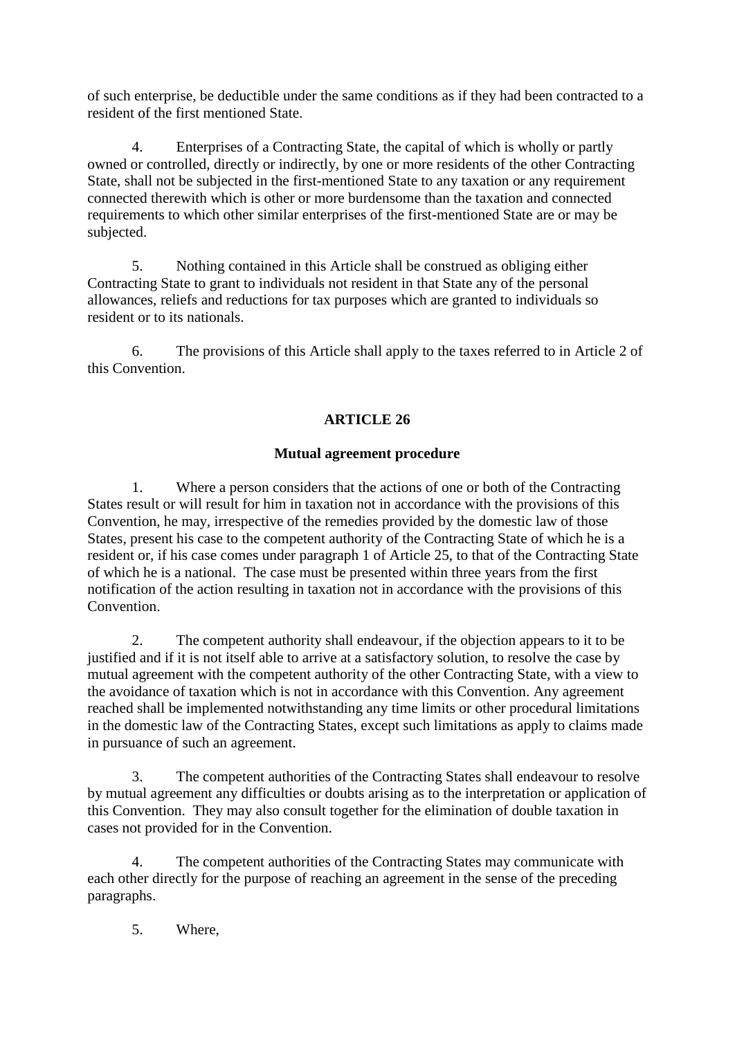of such enterprise, be deductible under the same conditions as if they had been contracted to a resident of the first mentioned State.

4. Enterprises of a Contracting State, the capital of which is wholly or partly owned or controlled, directly or indirectly, by one or more residents of the other Contracting State, shall not be subjected in the first-mentioned State to any taxation or any requirement connected therewith which is other or more burdensome than the taxation and connected requirements to which other similar enterprises of the first-mentioned State are or may be subjected.

5. Nothing contained in this Article shall be construed as obliging either Contracting State to grant to individuals not resident in that State any of the personal allowances, reliefs and reductions for tax purposes which are granted to individuals so resident or to its nationals.

6. The provisions of this Article shall apply to the taxes referred to in Article 2 of this Convention.

# **ARTICLE 26**

### **Mutual agreement procedure**

1. Where a person considers that the actions of one or both of the Contracting States result or will result for him in taxation not in accordance with the provisions of this Convention, he may, irrespective of the remedies provided by the domestic law of those States, present his case to the competent authority of the Contracting State of which he is a resident or, if his case comes under paragraph 1 of Article 25, to that of the Contracting State of which he is a national. The case must be presented within three years from the first notification of the action resulting in taxation not in accordance with the provisions of this Convention.

2. The competent authority shall endeavour, if the objection appears to it to be justified and if it is not itself able to arrive at a satisfactory solution, to resolve the case by mutual agreement with the competent authority of the other Contracting State, with a view to the avoidance of taxation which is not in accordance with this Convention. Any agreement reached shall be implemented notwithstanding any time limits or other procedural limitations in the domestic law of the Contracting States, except such limitations as apply to claims made in pursuance of such an agreement.

3. The competent authorities of the Contracting States shall endeavour to resolve by mutual agreement any difficulties or doubts arising as to the interpretation or application of this Convention. They may also consult together for the elimination of double taxation in cases not provided for in the Convention.

4. The competent authorities of the Contracting States may communicate with each other directly for the purpose of reaching an agreement in the sense of the preceding paragraphs.

5. Where,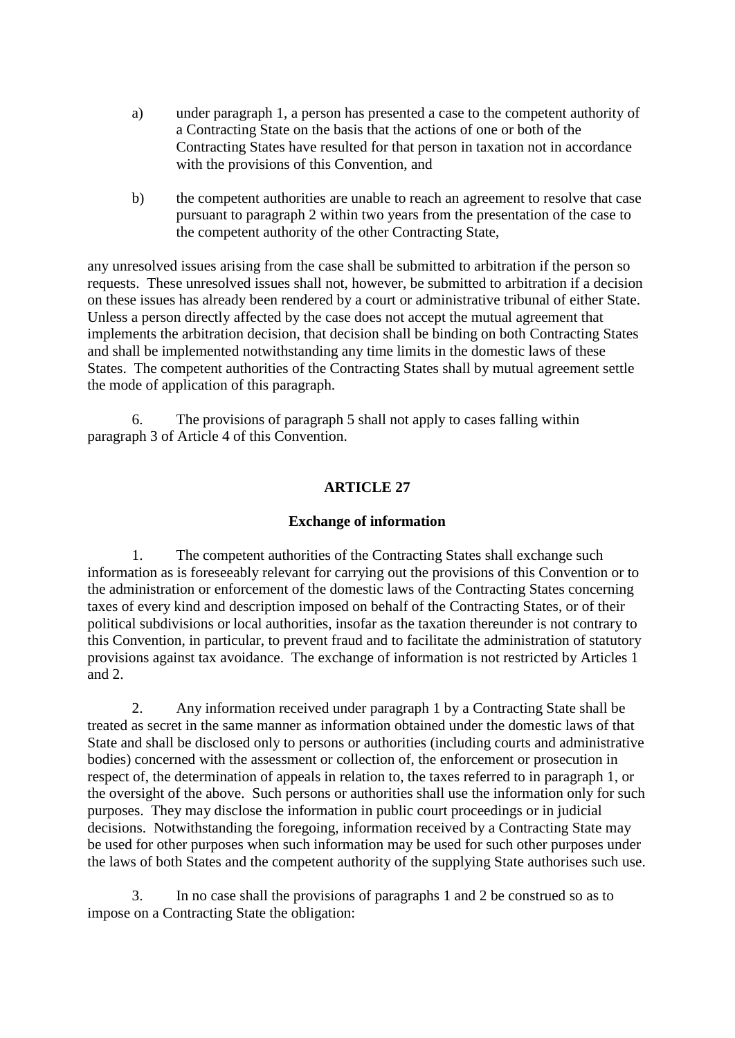- a) under paragraph 1, a person has presented a case to the competent authority of a Contracting State on the basis that the actions of one or both of the Contracting States have resulted for that person in taxation not in accordance with the provisions of this Convention, and
- b) the competent authorities are unable to reach an agreement to resolve that case pursuant to paragraph 2 within two years from the presentation of the case to the competent authority of the other Contracting State,

any unresolved issues arising from the case shall be submitted to arbitration if the person so requests. These unresolved issues shall not, however, be submitted to arbitration if a decision on these issues has already been rendered by a court or administrative tribunal of either State. Unless a person directly affected by the case does not accept the mutual agreement that implements the arbitration decision, that decision shall be binding on both Contracting States and shall be implemented notwithstanding any time limits in the domestic laws of these States. The competent authorities of the Contracting States shall by mutual agreement settle the mode of application of this paragraph.

6. The provisions of paragraph 5 shall not apply to cases falling within paragraph 3 of Article 4 of this Convention.

# **ARTICLE 27**

### **Exchange of information**

1. The competent authorities of the Contracting States shall exchange such information as is foreseeably relevant for carrying out the provisions of this Convention or to the administration or enforcement of the domestic laws of the Contracting States concerning taxes of every kind and description imposed on behalf of the Contracting States, or of their political subdivisions or local authorities, insofar as the taxation thereunder is not contrary to this Convention, in particular, to prevent fraud and to facilitate the administration of statutory provisions against tax avoidance. The exchange of information is not restricted by Articles 1 and 2.

2. Any information received under paragraph 1 by a Contracting State shall be treated as secret in the same manner as information obtained under the domestic laws of that State and shall be disclosed only to persons or authorities (including courts and administrative bodies) concerned with the assessment or collection of, the enforcement or prosecution in respect of, the determination of appeals in relation to, the taxes referred to in paragraph 1, or the oversight of the above. Such persons or authorities shall use the information only for such purposes. They may disclose the information in public court proceedings or in judicial decisions. Notwithstanding the foregoing, information received by a Contracting State may be used for other purposes when such information may be used for such other purposes under the laws of both States and the competent authority of the supplying State authorises such use.

3. In no case shall the provisions of paragraphs 1 and 2 be construed so as to impose on a Contracting State the obligation: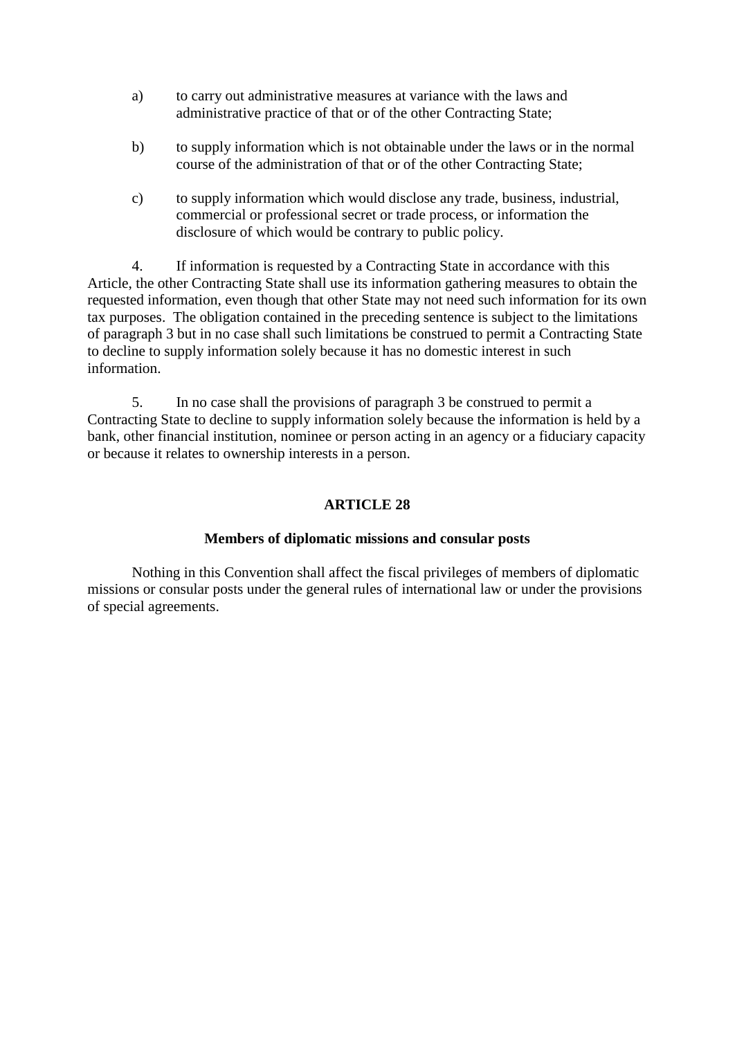- a) to carry out administrative measures at variance with the laws and administrative practice of that or of the other Contracting State;
- b) to supply information which is not obtainable under the laws or in the normal course of the administration of that or of the other Contracting State;
- c) to supply information which would disclose any trade, business, industrial, commercial or professional secret or trade process, or information the disclosure of which would be contrary to public policy.

4. If information is requested by a Contracting State in accordance with this Article, the other Contracting State shall use its information gathering measures to obtain the requested information, even though that other State may not need such information for its own tax purposes. The obligation contained in the preceding sentence is subject to the limitations of paragraph 3 but in no case shall such limitations be construed to permit a Contracting State to decline to supply information solely because it has no domestic interest in such information.

5. In no case shall the provisions of paragraph 3 be construed to permit a Contracting State to decline to supply information solely because the information is held by a bank, other financial institution, nominee or person acting in an agency or a fiduciary capacity or because it relates to ownership interests in a person.

### **ARTICLE 28**

#### **Members of diplomatic missions and consular posts**

Nothing in this Convention shall affect the fiscal privileges of members of diplomatic missions or consular posts under the general rules of international law or under the provisions of special agreements.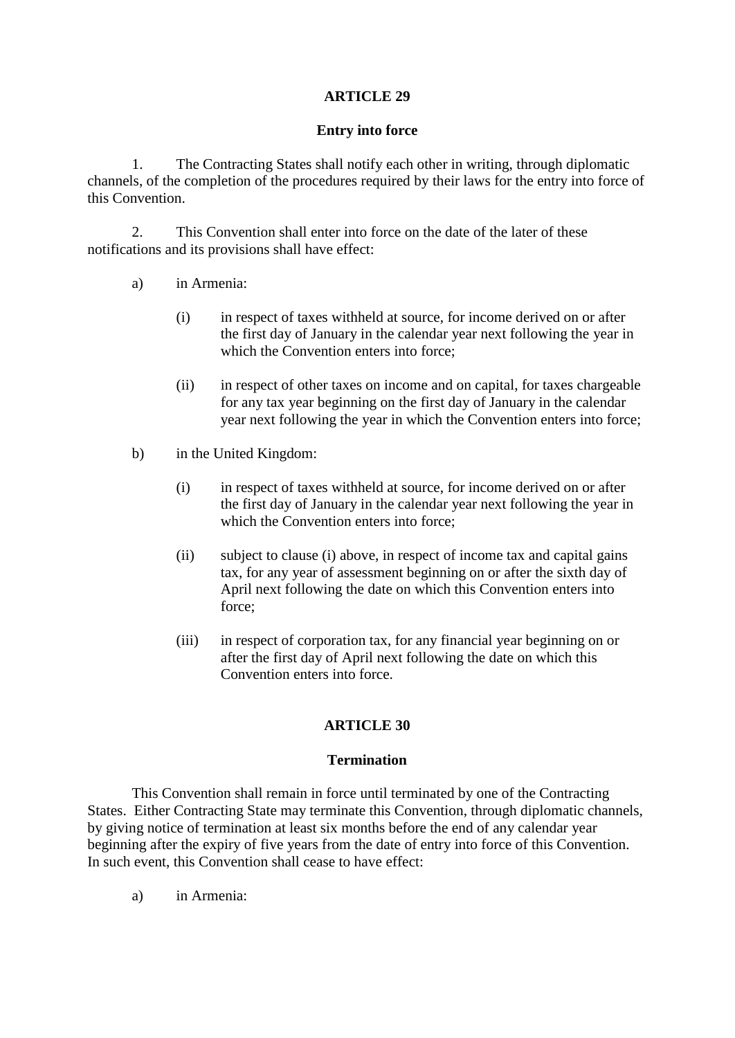### **Entry into force**

1. The Contracting States shall notify each other in writing, through diplomatic channels, of the completion of the procedures required by their laws for the entry into force of this Convention.

2. This Convention shall enter into force on the date of the later of these notifications and its provisions shall have effect:

- a) in Armenia:
	- (i) in respect of taxes withheld at source, for income derived on or after the first day of January in the calendar year next following the year in which the Convention enters into force:
	- (ii) in respect of other taxes on income and on capital, for taxes chargeable for any tax year beginning on the first day of January in the calendar year next following the year in which the Convention enters into force;
- b) in the United Kingdom:
	- (i) in respect of taxes withheld at source, for income derived on or after the first day of January in the calendar year next following the year in which the Convention enters into force:
	- (ii) subject to clause (i) above, in respect of income tax and capital gains tax, for any year of assessment beginning on or after the sixth day of April next following the date on which this Convention enters into force;
	- (iii) in respect of corporation tax, for any financial year beginning on or after the first day of April next following the date on which this Convention enters into force.

# **ARTICLE 30**

### **Termination**

This Convention shall remain in force until terminated by one of the Contracting States. Either Contracting State may terminate this Convention, through diplomatic channels, by giving notice of termination at least six months before the end of any calendar year beginning after the expiry of five years from the date of entry into force of this Convention. In such event, this Convention shall cease to have effect:

a) in Armenia: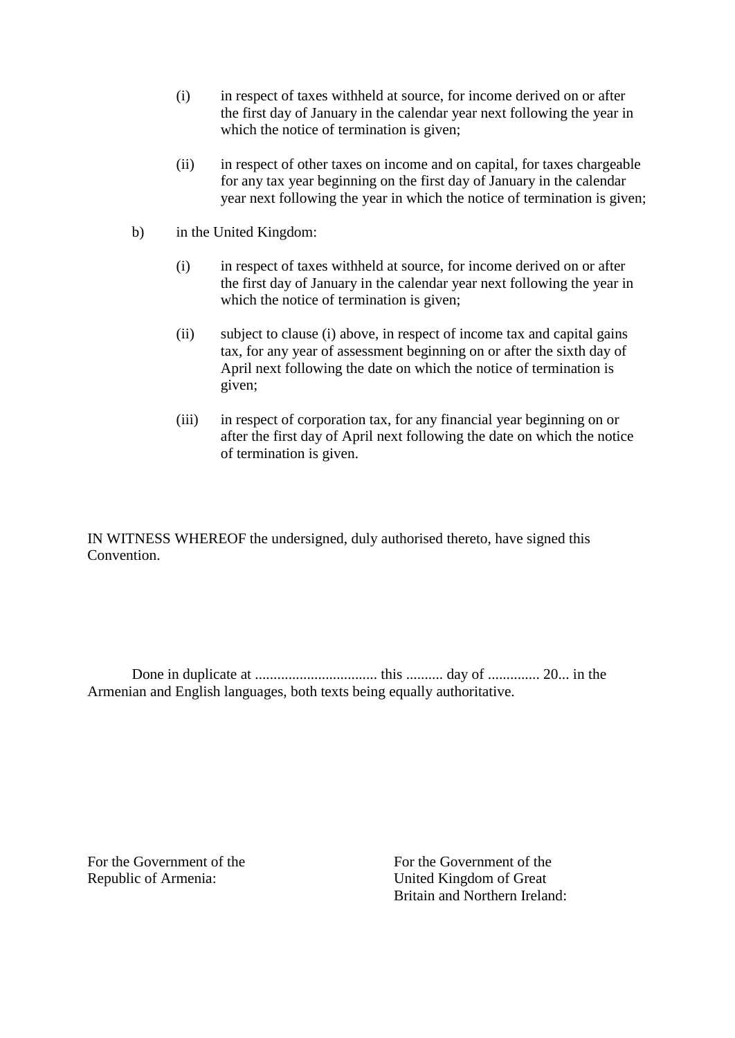- (i) in respect of taxes withheld at source, for income derived on or after the first day of January in the calendar year next following the year in which the notice of termination is given;
- (ii) in respect of other taxes on income and on capital, for taxes chargeable for any tax year beginning on the first day of January in the calendar year next following the year in which the notice of termination is given;
- b) in the United Kingdom:
	- (i) in respect of taxes withheld at source, for income derived on or after the first day of January in the calendar year next following the year in which the notice of termination is given;
	- (ii) subject to clause (i) above, in respect of income tax and capital gains tax, for any year of assessment beginning on or after the sixth day of April next following the date on which the notice of termination is given;
	- (iii) in respect of corporation tax, for any financial year beginning on or after the first day of April next following the date on which the notice of termination is given.

IN WITNESS WHEREOF the undersigned, duly authorised thereto, have signed this Convention.

Done in duplicate at ................................. this .......... day of .............. 20... in the Armenian and English languages, both texts being equally authoritative.

For the Government of the Republic of Armenia:

For the Government of the United Kingdom of Great Britain and Northern Ireland: